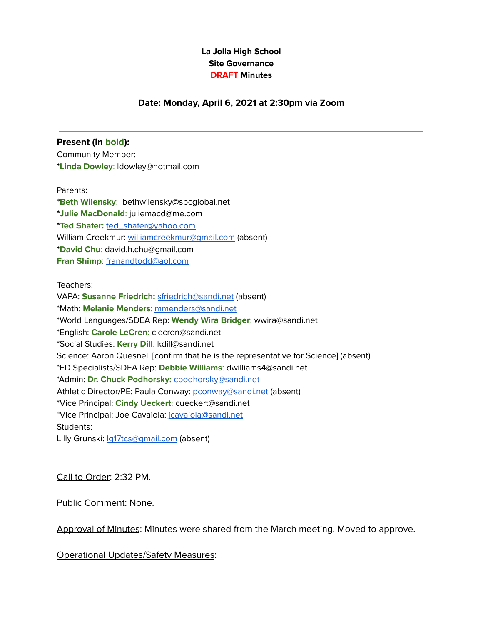### **La Jolla High School Site Governance DRAFT Minutes**

### **Date: Monday, April 6, 2021 at 2:30pm via Zoom**

#### **Present (in bold):**

Community Member: **\*Linda Dowley**: ldowley@hotmail.com

#### Parents:

**\*Beth Wilensky**: bethwilensky@sbcglobal.net **\*Julie MacDonald**: juliemacd@me.com **\*Ted Shafer:** [ted\\_shafer@yahoo.com](mailto:ted_shafer@yahoo.com) William Creekmur: [williamcreekmur@gmail.com](mailto:williamcreekmur@gmail.com) (absent) **\*David Chu**: [david.h.chu@gmail.com](mailto:david.h.chu@gmail.com) **Fran Shimp**: [franandtodd@aol.com](mailto:franandtodd@aol.com)

Teachers:

VAPA: **Susanne Friedrich:** [sfriedrich@sandi.net](mailto:sfriedrich@sandi.net) (absent) \*Math: **Melanie Menders**: [mmenders@sandi.net](mailto:mmenders@sandi.net) \*World Languages/SDEA Rep: **Wendy Wira Bridger**: wwira@sandi.net \*English: **Carole LeCren**: clecren@sandi.net \*Social Studies: **Kerry Dill**: kdill@sandi.net Science: Aaron Quesnell [confirm that he is the representative for Science] (absent) \*ED Specialists/SDEA Rep: **Debbie Williams**: dwilliams4@sandi.net \*Admin: **Dr. Chuck Podhorsky:** [cpodhorsky@sandi.net](mailto:cpodhorsky@sandi.net) Athletic Director/PE: Paula Conway: [pconway@sandi.net](mailto:pconway@sandi.net) (absent) \*Vice Principal: **Cindy Ueckert**: cueckert@sandi.net \*Vice Principal: Joe Cavaiola: [jcavaiola@sandi.net](mailto:jcavaiola@sandi.net) Students:

Lilly Grunski: la17tcs@gmail.com (absent)

Call to Order: 2:32 PM.

Public Comment: None.

Approval of Minutes: Minutes were shared from the March meeting. Moved to approve.

Operational Updates/Safety Measures: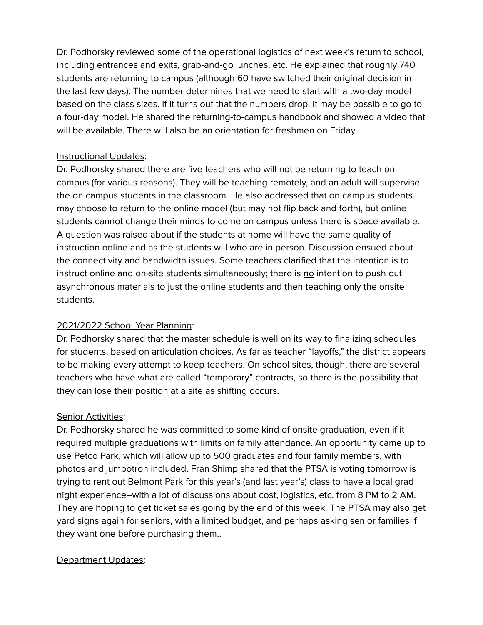Dr. Podhorsky reviewed some of the operational logistics of next week's return to school, including entrances and exits, grab-and-go lunches, etc. He explained that roughly 740 students are returning to campus (although 60 have switched their original decision in the last few days). The number determines that we need to start with a two-day model based on the class sizes. If it turns out that the numbers drop, it may be possible to go to a four-day model. He shared the returning-to-campus handbook and showed a video that will be available. There will also be an orientation for freshmen on Friday.

## Instructional Updates:

Dr. Podhorsky shared there are five teachers who will not be returning to teach on campus (for various reasons). They will be teaching remotely, and an adult will supervise the on campus students in the classroom. He also addressed that on campus students may choose to return to the online model (but may not flip back and forth), but online students cannot change their minds to come on campus unless there is space available. A question was raised about if the students at home will have the same quality of instruction online and as the students will who are in person. Discussion ensued about the connectivity and bandwidth issues. Some teachers clarified that the intention is to instruct online and on-site students simultaneously; there is no intention to push out asynchronous materials to just the online students and then teaching only the onsite students.

# 2021/2022 School Year Planning:

Dr. Podhorsky shared that the master schedule is well on its way to finalizing schedules for students, based on articulation choices. As far as teacher "layoffs," the district appears to be making every attempt to keep teachers. On school sites, though, there are several teachers who have what are called "temporary" contracts, so there is the possibility that they can lose their position at a site as shifting occurs.

# Senior Activities:

Dr. Podhorsky shared he was committed to some kind of onsite graduation, even if it required multiple graduations with limits on family attendance. An opportunity came up to use Petco Park, which will allow up to 500 graduates and four family members, with photos and jumbotron included. Fran Shimp shared that the PTSA is voting tomorrow is trying to rent out Belmont Park for this year's (and last year's) class to have a local grad night experience--with a lot of discussions about cost, logistics, etc. from 8 PM to 2 AM. They are hoping to get ticket sales going by the end of this week. The PTSA may also get yard signs again for seniors, with a limited budget, and perhaps asking senior families if they want one before purchasing them..

# Department Updates: